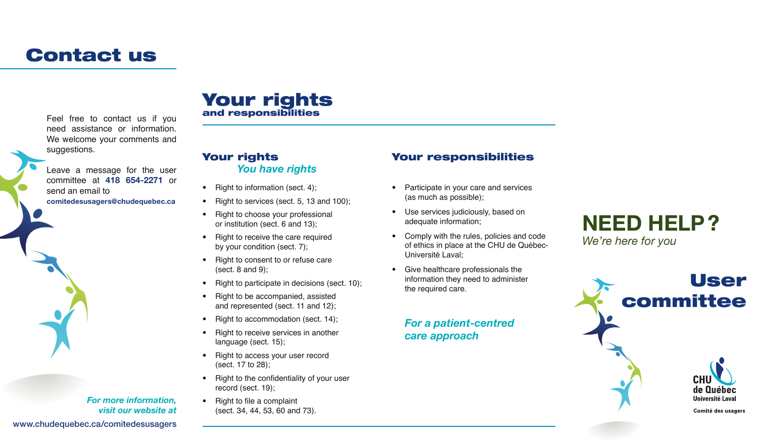# Contact us

Feel free to contact us if you need assistance or information. We welcome your comments and suggestions.

Leave a message for the user committee at 418 654-2271 or send an email to comitedesusagers@chudequebec.ca

## Your rights and responsibilities

### Your rights *You have rights*

- Right to information (sect. 4);
- Right to services (sect. 5, 13 and 100);
- Right to choose your professional or institution (sect. 6 and 13);
- Right to receive the care required by your condition (sect. 7);
- Right to consent to or refuse care (sect.  $8$  and  $9$ );
- Right to participate in decisions (sect. 10);
- Right to be accompanied, assisted and represented (sect. 11 and 12);
- Right to accommodation (sect. 14);
- Right to receive services in another language (sect. 15);
- Right to access your user record (sect. 17 to 28);
- Right to the confidentiality of your user record (sect. 19);
- Right to file a complaint (sect. 34, 44, 53, 60 and 73).

## Your responsibilities

- Participate in your care and services (as much as possible);
- Use services judiciously, based on adequate information;
- Comply with the rules, policies and code of ethics in place at the CHU de Québec-Université Laval;
- Give healthcare professionals the information they need to administer the required care.

#### *For a patient-centred care approach*





www.chudequebec.ca/comitedesusagers

*For more information, visit our website at*